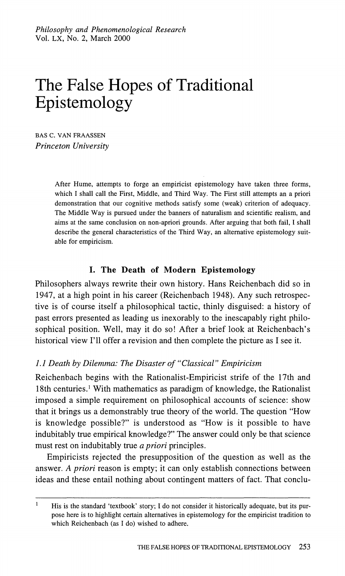# **The False Hopes of Traditional Epistemology**

**BAS C. VAN FRAASSEN Princeton University** 

> **After Hume, attempts to forge an empiricist epistemology have taken three forms, which I shall call the First, Middle, and Third Way. The First still attempts an a priori demonstration that our cognitive methods satisfy some (weak) criterion of adequacy. The Middle Way is pursued under the banners of naturalism and scientific realism, and aims at the same conclusion on non-apriori grounds. After arguing that both fail, I shall describe the general characteristics of the Third Way, an alternative epistemology suitable for empiricism.**

#### **I. The Death of Modern Epistemology**

**Philosophers always rewrite their own history. Hans Reichenbach did so in 1947, at a high point in his career (Reichenbach 1948). Any such retrospective is of course itself a philosophical tactic, thinly disguised: a history of past errors presented as leading us inexorably to the inescapably right philosophical position. Well, may it do so! After a brief look at Reichenbach's historical view I'll offer a revision and then complete the picture as I see it.** 

## **1.1 Death by Dilemma: The Disaster of "Classical" Empiricism**

**Reichenbach begins with the Rationalist-Empiricist strife of the 17th and 18th centuries.1 With mathematics as paradigm of knowledge, the Rationalist imposed a simple requirement on philosophical accounts of science: show that it brings us a demonstrably true theory of the world. The question "How is knowledge possible?" is understood as "How is it possible to have indubitably true empirical knowledge?" The answer could only be that science must rest on indubitably true a priori principles.** 

**Empiricists rejected the presupposition of the question as well as the answer. A priori reason is empty; it can only establish connections between ideas and these entail nothing about contingent matters of fact. That conclu-**

 $\mathbf{1}$ **His is the standard 'textbook' story; I do not consider it historically adequate, but its purpose here is to highlight certain alternatives in epistemology for the empiricist tradition to which Reichenbach (as I do) wished to adhere.**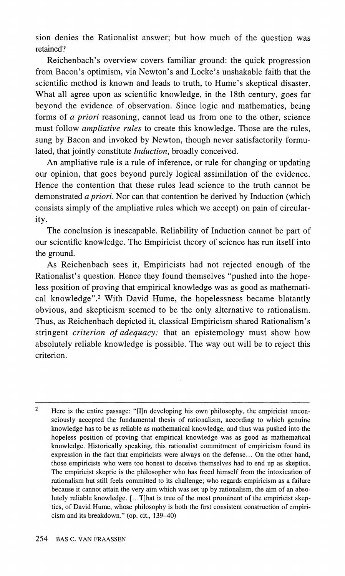**sion denies the Rationalist answer; but how much of the question was retained?** 

**Reichenbach's overview covers familiar ground: the quick progression from Bacon's optimism, via Newton's and Locke's unshakable faith that the scientific method is known and leads to truth, to Hume's skeptical disaster. What all agree upon as scientific knowledge, in the 18th century, goes far beyond the evidence of observation. Since logic and mathematics, being forms of a priori reasoning, cannot lead us from one to the other, science must follow ampliative rules to create this knowledge. Those are the rules, sung by Bacon and invoked by Newton, though never satisfactorily formulated, that jointly constitute Induction, broadly conceived.** 

**An ampliative rule is a rule of inference, or rule for changing or updating our opinion, that goes beyond purely logical assimilation of the evidence. Hence the contention that these rules lead science to the truth cannot be demonstrated a priori. Nor can that contention be derived by Induction (which consists simply of the ampliative rules which we accept) on pain of circularity.** 

**The conclusion is inescapable. Reliability of Induction cannot be part of our scientific knowledge. The Empiricist theory of science has run itself into the ground.** 

**As Reichenbach sees it, Empiricists had not rejected enough of the Rationalist's question. Hence they found themselves "pushed into the hopeless position of proving that empirical knowledge was as good as mathematical knowledge".2 With David Hume, the hopelessness became blatantly obvious, and skepticism seemed to be the only alternative to rationalism. Thus, as Reichenbach depicted it, classical Empiricism shared Rationalism's stringent criterion of adequacy: that an epistemology must show how absolutely reliable knowledge is possible. The way out will be to reject this criterion.** 

 $\overline{2}$ **Here is the entire passage: "[I]n developing his own philosophy, the empiricist unconsciously accepted the fundamental thesis of rationalism, according to which genuine knowledge has to be as reliable as mathematical knowledge, and thus was pushed into the hopeless position of proving that empirical knowledge was as good as mathematical knowledge. Historically speaking, this rationalist commitment of empiricism found its expression in the fact that empiricists were always on the defense... On the other hand, those empiricists who were too honest to deceive themselves had to end up as skeptics. The empiricist skeptic is the philosopher who has freed himself from the intoxication of rationalism but still feels committed to its challenge; who regards empiricism as a failure because it cannot attain the very aim which was set up by rationalism, the aim of an absolutely reliable knowledge. [...T]hat is true of the most prominent of the empiricist skeptics, of David Hume, whose philosophy is both the first consistent construction of empiricism and its breakdown." (op. cit., 139-40)**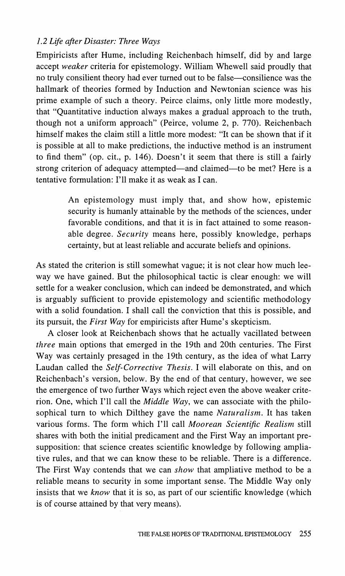#### **1.2 Life after Disaster: Three Ways**

**Empiricists after Hume, including Reichenbach himself, did by and large accept weaker criteria for epistemology. William Whewell said proudly that no truly consilient theory had ever turned out to be false-consilience was the hallmark of theories formed by Induction and Newtonian science was his prime example of such a theory. Peirce claims, only little more modestly, that "Quantitative induction always makes a gradual approach to the truth, though not a uniform approach" (Peirce, volume 2, p. 770). Reichenbach himself makes the claim still a little more modest: "It can be shown that if it is possible at all to make predictions, the inductive method is an instrument to find them" (op. cit., p. 146). Doesn't it seem that there is still a fairly strong criterion of adequacy attempted-and claimed-to be met? Here is a tentative formulation: I'll make it as weak as I can.** 

> **An epistemology must imply that, and show how, epistemic security is humanly attainable by the methods of the sciences, under favorable conditions, and that it is in fact attained to some reasonable degree. Security means here, possibly knowledge, perhaps certainty, but at least reliable and accurate beliefs and opinions.**

**As stated the criterion is still somewhat vague; it is not clear how much leeway we have gained. But the philosophical tactic is clear enough: we will settle for a weaker conclusion, which can indeed be demonstrated, and which is arguably sufficient to provide epistemology and scientific methodology with a solid foundation. I shall call the conviction that this is possible, and its pursuit, the First Way for empiricists after Hume's skepticism.** 

**A closer look at Reichenbach shows that he actually vacillated between three main options that emerged in the 19th and 20th centuries. The First Way was certainly presaged in the 19th century, as the idea of what Larry Laudan called the Self-Corrective Thesis. I will elaborate on this, and on Reichenbach's version, below. By the end of that century, however, we see the emergence of two further Ways which reject even the above weaker criterion. One, which I'll call the Middle Way, we can associate with the philosophical turn to which Dilthey gave the name Naturalism. It has taken various forms. The form which I'll call Moorean Scientific Realism still shares with both the initial predicament and the First Way an important presupposition: that science creates scientific knowledge by following ampliative rules, and that we can know these to be reliable. There is a difference. The First Way contends that we can show that ampliative method to be a reliable means to security in some important sense. The Middle Way only insists that we know that it is so, as part of our scientific knowledge (which is of course attained by that very means).**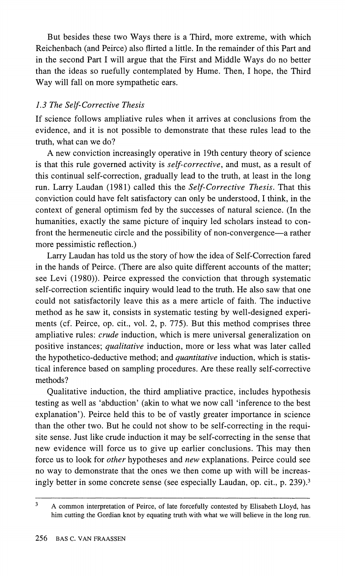**But besides these two Ways there is a Third, more extreme, with which Reichenbach (and Peirce) also flirted a little. In the remainder of this Part and in the second Part I will argue that the First and Middle Ways do no better than the ideas so ruefully contemplated by Hume. Then, I hope, the Third Way will fall on more sympathetic ears.** 

# **1.3 The Self-Corrective Thesis**

**If science follows ampliative rules when it arrives at conclusions from the evidence, and it is not possible to demonstrate that these rules lead to the truth, what can we do?** 

**A new conviction increasingly operative in 19th century theory of science is that this rule governed activity is self-corrective, and must, as a result of this continual self-correction, gradually lead to the truth, at least in the long run. Larry Laudan (1981) called this the Self-Corrective Thesis. That this conviction could have felt satisfactory can only be understood, I think, in the context of general optimism fed by the successes of natural science. (In the humanities, exactly the same picture of inquiry led scholars instead to confront the hermeneutic circle and the possibility of non-convergence-a rather more pessimistic reflection.)** 

**Larry Laudan has told us the story of how the idea of Self-Correction fared in the hands of Peirce. (There are also quite different accounts of the matter; see Levi (1980)). Peirce expressed the conviction that through systematic self-correction scientific inquiry would lead to the truth. He also saw that one could not satisfactorily leave this as a mere article of faith. The inductive method as he saw it, consists in systematic testing by well-designed experiments (cf. Peirce, op. cit., vol. 2, p. 775). But this method comprises three ampliative rules: crude induction, which is mere universal generalization on positive instances; qualitative induction, more or less what was later called the hypothetico-deductive method; and quantitative induction, which is statistical inference based on sampling procedures. Are these really self-corrective methods?** 

**Qualitative induction, the third ampliative practice, includes hypothesis testing as well as 'abduction' (akin to what we now call 'inference to the best explanation'). Peirce held this to be of vastly greater importance in science than the other two. But he could not show to be self-correcting in the requisite sense. Just like crude induction it may be self-correcting in the sense that new evidence will force us to give up earlier conclusions. This may then force us to look for other hypotheses and new explanations. Peirce could see no way to demonstrate that the ones we then come up with will be increasingly better in some concrete sense (see especially Laudan, op. cit., p. 239).3** 

**<sup>3</sup> A common interpretation of Peirce, of late forcefully contested by Elisabeth Lloyd, has him cutting the Gordian knot by equating truth with what we will believe in the long run.**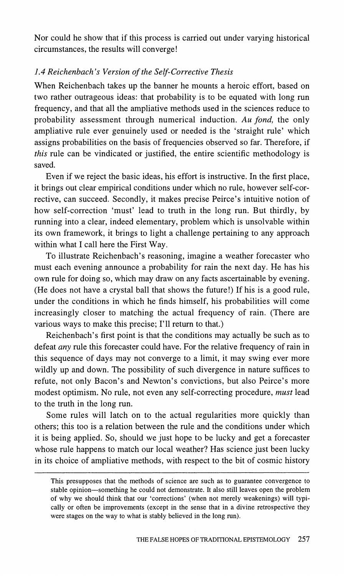**Nor could he show that if this process is carried out under varying historical circumstances, the results will converge!** 

## **1.4 Reichenbach's Version of the Self-Corrective Thesis**

**When Reichenbach takes up the banner he mounts a heroic effort, based on two rather outrageous ideas: that probability is to be equated with long run frequency, and that all the ampliative methods used in the sciences reduce to probability assessment through numerical induction. Au fond, the only ampliative rule ever genuinely used or needed is the 'straight rule' which assigns probabilities on the basis of frequencies observed so far. Therefore, if this rule can be vindicated or justified, the entire scientific methodology is saved.** 

**Even if we reject the basic ideas, his effort is instructive. In the first place, it brings out clear empirical conditions under which no rule, however self-corrective, can succeed. Secondly, it makes precise Peirce's intuitive notion of how self-correction 'must' lead to truth in the long run. But thirdly, by running into a clear, indeed elementary, problem which is unsolvable within its own framework, it brings to light a challenge pertaining to any approach within what I call here the First Way.** 

**To illustrate Reichenbach's reasoning, imagine a weather forecaster who must each evening announce a probability for rain the next day. He has his own rule for doing so, which may draw on any facts ascertainable by evening. (He does not have a crystal ball that shows the future!) If his is a good rule, under the conditions in which he finds himself, his probabilities will come increasingly closer to matching the actual frequency of rain. (There are various ways to make this precise; I'll return to that.)** 

**Reichenbach's first point is that the conditions may actually be such as to defeat any rule this forecaster could have. For the relative frequency of rain in this sequence of days may not converge to a limit, it may swing ever more wildly up and down. The possibility of such divergence in nature suffices to refute, not only Bacon's and Newton's convictions, but also Peirce's more modest optimism. No rule, not even any self-correcting procedure, must lead to the truth in the long run.** 

**Some rules will latch on to the actual regularities more quickly than others; this too is a relation between the rule and the conditions under which it is being applied. So, should we just hope to be lucky and get a forecaster whose rule happens to match our local weather? Has science just been lucky in its choice of ampliative methods, with respect to the bit of cosmic history** 

**This presupposes that the methods of science are such as to guarantee convergence to stable opinion-something he could not demonstrate. It also still leaves open the problem of why we should think that our 'corrections' (when not merely weakenings) will typically or often be improvements (except in the sense that in a divine retrospective they were stages on the way to what is stably believed in the long run).**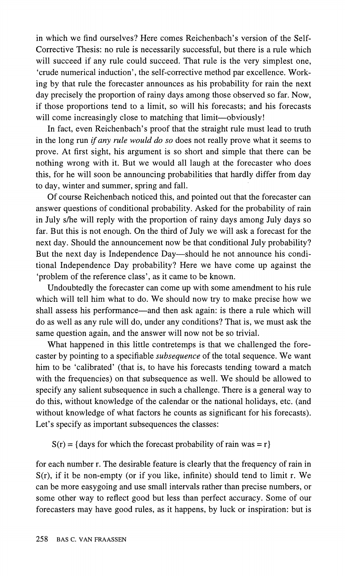**in which we find ourselves? Here comes Reichenbach's version of the Self-Corrective Thesis: no rule is necessarily successful, but there is a rule which will succeed if any rule could succeed. That rule is the very simplest one, 'crude numerical induction', the self-corrective method par excellence. Working by that rule the forecaster announces as his probability for rain the next day precisely the proportion of rainy days among those observed so far. Now, if those proportions tend to a limit, so will his forecasts; and his forecasts will come increasingly close to matching that limit-obviously!** 

**In fact, even Reichenbach's proof that the straight rule must lead to truth in the long run if any rule would do so does not really prove what it seems to prove. At first sight, his argument is so short and simple that there can be nothing wrong with it. But we would all laugh at the forecaster who does this, for he will soon be announcing probabilities that hardly differ from day to day, winter and summer, spring and fall.** 

**Of course Reichenbach noticed this, and pointed out that the forecaster can answer questions of conditional probability. Asked for the probability of rain in July s/he will reply with the proportion of rainy days among July days so far. But this is not enough. On the third of July we will ask a forecast for the next day. Should the announcement now be that conditional July probability?**  But the next day is Independence Day—should he not announce his condi**tional Independence Day probability? Here we have come up against the 'problem of the reference class', as it came to be known.** 

**Undoubtedly the forecaster can come up with some amendment to his rule which will tell him what to do. We should now try to make precise how we**  shall assess his performance—and then ask again: is there a rule which will **do as well as any rule will do, under any conditions? That is, we must ask the same question again, and the answer will now not be so trivial.** 

**What happened in this little contretemps is that we challenged the forecaster by pointing to a specifiable subsequence of the total sequence. We want him to be 'calibrated' (that is, to have his forecasts tending toward a match with the frequencies) on that subsequence as well. We should be allowed to specify any salient subsequence in such a challenge. There is a general way to do this, without knowledge of the calendar or the national holidays, etc. (and without knowledge of what factors he counts as significant for his forecasts). Let's specify as important subsequences the classes:** 

 $S(r) = \{ \text{days for which the forecast probability of rain was} = r \}$ 

**for each number r. The desirable feature is clearly that the frequency of rain in S(r), if it be non-empty (or if you like, infinite) should tend to limit r. We can be more easygoing and use small intervals rather than precise numbers, or some other way to reflect good but less than perfect accuracy. Some of our forecasters may have good rules, as it happens, by luck or inspiration: but is**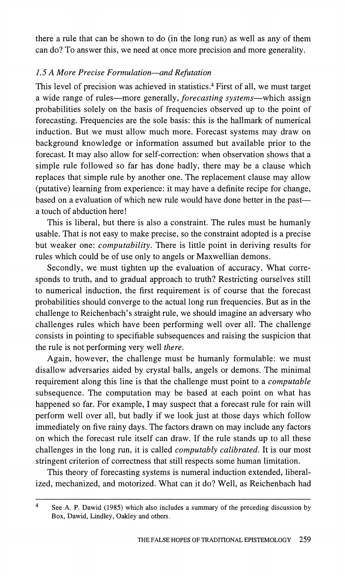**there a rule that can be shown to do (in the long run) as well as any of them can do? To answer this, we need at once more precision and more generality.** 

# **1.5 A More Precise Formulation-and Refutation**

**This level of precision was achieved in statistics.4 First of all, we must target**  a wide range of rules-more generally, forecasting systems-which assign **probabilities solely on the basis of frequencies observed up to the point of forecasting. Frequencies are the sole basis: this is the hallmark of numerical induction. But we must allow much more. Forecast systems may draw on background knowledge or information assumed but available prior to the forecast. It may also allow for self-correction: when observation shows that a simple rule followed so far has done badly, there may be a clause which replaces that simple rule by another one. The replacement clause may allow (putative) learning from experience: it may have a definite recipe for change, based on a evaluation of which new rule would have done better in the pasta touch of abduction here!** 

**This is liberal, but there is also a constraint. The rules must be humanly usable. That is not easy to make precise, so the constraint adopted is a precise but weaker one: computability. There is little point in deriving results for rules which could be of use only to angels or Maxwellian demons.** 

**Secondly, we must tighten up the evaluation of accuracy. What corresponds to truth, and to gradual approach to truth? Restricting ourselves still to numerical induction, the first requirement is of course that the forecast probabilities should converge to the actual long run frequencies. But as in the challenge to Reichenbach's straight rule, we should imagine an adversary who challenges rules which have been performing well over all. The challenge consists in pointing to specifiable subsequences and raising the suspicion that the rule is not performing very well there.** 

**Again, however, the challenge must be humanly formulable: we must disallow adversaries aided by crystal balls, angels or demons. The minimal requirement along this line is that the challenge must point to a computable subsequence. The computation may be based at each point on what has happened so far. For example, I may suspect that a forecast rule for rain will perform well over all, but badly if we look just at those days which follow immediately on five rainy days. The factors drawn on may include any factors on which the forecast rule itself can draw. If the rule stands up to all these challenges in the long run, it is called computably calibrated. It is our most stringent criterion of correctness that still respects some human limitation.** 

**This theory of forecasting systems is numeral induction extended, liberalized, mechanized, and motorized. What can it do? Well, as Reichenbach had** 

 $\overline{4}$ **See A. P. Dawid (1985) which also includes a summary of the preceding discussion by Box, Dawid, Lindley, Oakley and others.**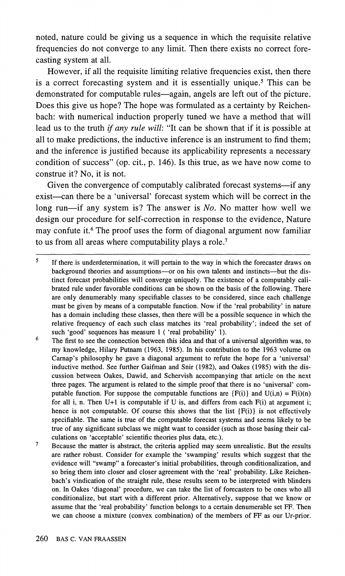**noted, nature could be giving us a sequence in which the requisite relative frequencies do not converge to any limit. Then there exists no correct forecasting system at all.** 

**However, if all the requisite limiting relative frequencies exist, then there is a correct forecasting system and it is essentially unique.5 This can be demonstrated for computable rules-again, angels are left out of the picture. Does this give us hope? The hope was formulated as a certainty by Reichenbach: with numerical induction properly tuned we have a method that will lead us to the truth if any rule will: "It can be shown that if it is possible at all to make predictions, the inductive inference is an instrument to find them; and the inference is justified because its applicability represents a necessary condition of success" (op. cit., p. 146). Is this true, as we have now come to construe it? No, it is not.** 

**Given the convergence of computably calibrated forecast systems-if any**  exist—can there be a 'universal' forecast system which will be correct in the long run—if any system is? The answer is No. No matter how well we **design our procedure for self-correction in response to the evidence, Nature may confute it.6 The proof uses the form of diagonal argument now familiar to us from all areas where computability plays a role.7** 

 $\overline{\mathbf{5}}$ **If there is underdetermination, it will pertain to the way in which the forecaster draws on**  background theories and assumptions--- or on his own talents and instincts-- but the dis**tinct forecast probabilities will converge uniquely. The existence of a computably calibrated rule under favorable conditions can be shown on the basis of the following. There are only denumerably many specifiable classes to be considered, since each challenge must be given by means of a computable function. Now if the 'real probability' in nature has a domain including these classes, then there will be a possible sequence in which the relative frequency of each such class matches its 'real probability'; indeed the set of such 'good' sequences has measure 1 ( 'real probability' 1).** 

 $6\overline{6}$ **The first to see the connection between this idea and that of a universal algorithm was, to my knowledge, Hilary Putnam (1963, 1985). In his contribution to the 1963 volume on Carnap's philosophy he gave a diagonal argument to refute the hope for a 'universal' inductive method. See further Gaifman and Snir (1982), and Oakes (1985) with the discussion between Oakes, Dawid, and Schervish accompanying that article on the next three pages. The argument is related to the simple proof that there is no 'universal' com**putable function. For suppose the computable functions are  $\{F(i)\}\$  and  $U(i,n) = F(i)(n)$ **for all i, n. Then U+1 is computable if U is, and differs from each F(i) at argument i;**  hence is not computable. Of course this shows that the list  ${F(i)}$  is not effectively **specifiable. The same is true of the computable forecast systems and seems likely to be true of any significant subclass we might want to consider (such as those basing their calculations on 'acceptable' scientific theories plus data, etc.).** 

 $\overline{7}$ **Because the matter is abstract, the criteria applied may seem unrealistic. But the results are rather robust. Consider for example the 'swamping' results which suggest that the evidence will "swamp" a forecaster's initial probabilities, through conditionalization, and so bring them into closer and closer agreement with the 'real' probability. Like Reichenbach's vindication of the straight rule, these results seem to be interpreted with blinders on. In Oakes 'diagonal' procedure, we can take the list of forecasters to be ones who all conditionalize, but start with a different prior. Alternatively, suppose that we know or assume that the 'real probability' function belongs to a certain denumerable set FF. Then we can choose a mixture (convex combination) of the members of FF as our Ur-prior.**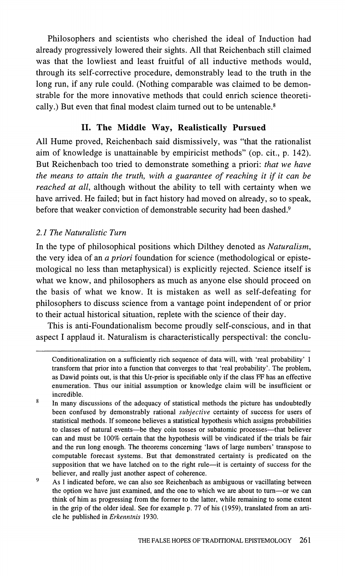**Philosophers and scientists who cherished the ideal of Induction had already progressively lowered their sights. All that Reichenbach still claimed was that the lowliest and least fruitful of all inductive methods would, through its self-corrective procedure, demonstrably lead to the truth in the long run, if any rule could. (Nothing comparable was claimed to be demonstrable for the more innovative methods that could enrich science theoretically.) But even that final modest claim turned out to be untenable.8** 

## **II. The Middle Way, Realistically Pursued**

**All Hume proved, Reichenbach said dismissively, was "that the rationalist aim of knowledge is unattainable by empiricist methods" (op. cit., p. 142). But Reichenbach too tried to demonstrate something a priori: that we have the means to attain the truth, with a guarantee of reaching it if it can be reached at all, although without the ability to tell with certainty when we have arrived. He failed; but in fact history had moved on already, so to speak, before that weaker conviction of demonstrable security had been dashed.9** 

## **2.1 The Naturalistic Turn**

**In the type of philosophical positions which Dilthey denoted as Naturalism, the very idea of an a priori foundation for science (methodological or epistemological no less than metaphysical) is explicitly rejected. Science itself is what we know, and philosophers as much as anyone else should proceed on the basis of what we know. It is mistaken as well as self-defeating for philosophers to discuss science from a vantage point independent of or prior to their actual historical situation, replete with the science of their day.** 

**This is anti-Foundationalism become proudly self-conscious, and in that aspect I applaud it. Naturalism is characteristically perspectival: the conclu-**

**Conditionalization on a sufficiently rich sequence of data will, with 'real probability' 1 transform that prior into a function that converges to that 'real probability'. The problem, as Dawid points out, is that this Ur-prior is specifiable only if the class FF has an effective enumeration. Thus our initial assumption or knowledge claim will be insufficient or incredible.** 

 $\mathbf{g}$ **In many discussions of the adequacy of statistical methods the picture has undoubtedly been confused by demonstrably rational subjective certainty of success for users of statistical methods. If someone believes a statistical hypothesis which assigns probabilities to classes of natural events-be they coin tosses or subatomic processes-that believer can and must be 100% certain that the hypothesis will be vindicated if the trials be fair and the run long enough. The theorems concerning 'laws of large numbers' transpose to computable forecast systems. But that demonstrated certainty is predicated on the**  supposition that we have latched on to the right rule-it is certainty of success for the **believer, and really just another aspect of coherence.** 

 $\mathbf{Q}$ **As I indicated before, we can also see Reichenbach as ambiguous or vacillating between the option we have just examined, and the one to which we are about to turn-or we can think of him as progressing from the former to the latter, while remaining to some extent in the grip of the older ideal. See for example p. 77 of his (1959), translated from an article he published in Erkenntnis 1930.**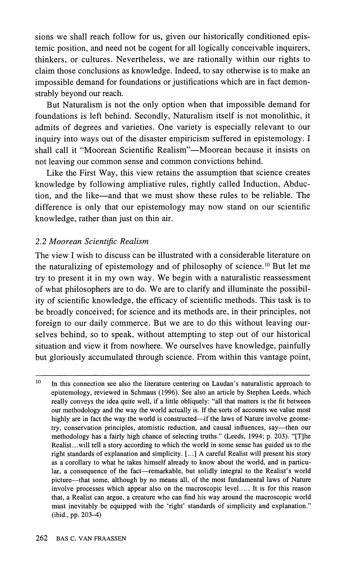**sions we shall reach follow for us, given our historically conditioned epistemic position, and need not be cogent for all logically conceivable inquirers, thinkers, or cultures. Nevertheless, we are rationally within our rights to claim those conclusions as knowledge. Indeed, to say otherwise is to make an impossible demand for foundations or justifications which are in fact demonstrably beyond our reach.** 

**But Naturalism is not the only option when that impossible demand for foundations is left behind. Secondly, Naturalism itself is not monolithic, it admits of degrees and varieties. One variety is especially relevant to our inquiry into ways out of the disaster empiricism suffered in epistemology. I**  shall call it "Moorean Scientific Realism"-Moorean because it insists on **not leaving our common sense and common convictions behind.** 

**Like the First Way, this view retains the assumption that science creates knowledge by following ampliative rules, rightly called Induction, Abduction, and the like-and that we must show these rules to be reliable. The difference is only that our epistemology may now stand on our scientific knowledge, rather than just on thin air.** 

## **2.2 Moorean Scientific Realism**

**The view I wish to discuss can be illustrated with a considerable literature on the naturalizing of epistemology and of philosophy of science."' But let me try to present it in my own way. We begin with a naturalistic reassessment of what philosophers are to do. We are to clarify and illuminate the possibility of scientific knowledge, the efficacy of scientific methods. This task is to be broadly conceived; for science and its methods are, in their principles, not foreign to our daily commerce. But we are to do this without leaving ourselves behind, so to speak, without attempting to step out of our historical situation and view it from nowhere. We ourselves have knowledge, painfully but gloriously accumulated through science. From within this vantage point,** 

<sup>&</sup>lt;sup>10</sup> In this connection see also the literature centering on Laudan's naturalistic approach to **epistemology, reviewed in Schmaus (1996). See also an article by Stephen Leeds, which really conveys the idea quite well, if a little obliquely: "all that matters is the fit between our methodology and the way the world actually is. If the sorts of accounts we value most highly are in fact the way the world is constructed-if the laws of Nature involve geometry, conservation principles, atomistic reduction, and causal influences, say-then our methodology has a fairly high chance of selecting truths." (Leeds, 1994; p. 203). "[T]he Realist.. will tell a story according to which the world in some sense has guided us to the right standards of explanation and simplicity. [...] A careful Realist will present his story as a corollary to what he takes himself already to know about the world, and in particu**lar, a consequence of the fact--remarkable, but solidly integral to the Realist's world **picture-that some, although by no means all, of the most fundamental laws of Nature involve processes which appear also on the macroscopic level ..... It is for this reason that, a Realist can argue, a creature who can find his way around the macroscopic world must inevitably be equipped with the 'right' standards of simplicity and explanation." (ibid., pp. 203-4)**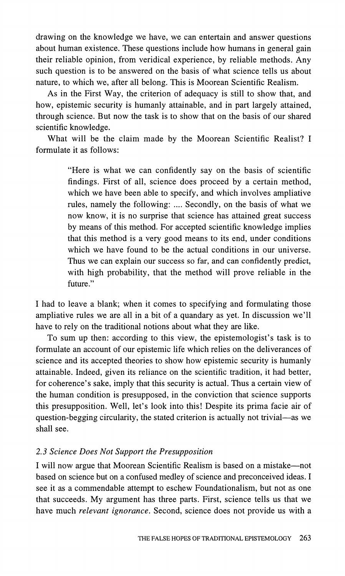**drawing on the knowledge we have, we can entertain and answer questions about human existence. These questions include how humans in general gain their reliable opinion, from veridical experience, by reliable methods. Any such question is to be answered on the basis of what science tells us about nature, to which we, after all belong. This is Moorean Scientific Realism.** 

**As in the First Way, the criterion of adequacy is still to show that, and how, epistemic security is humanly attainable, and in part largely attained, through science. But now the task is to show that on the basis of our shared scientific knowledge.** 

**What will be the claim made by the Moorean Scientific Realist? I formulate it as follows:** 

> **"Here is what we can confidently say on the basis of scientific findings. First of all, science does proceed by a certain method, which we have been able to specify, and which involves ampliative rules, namely the following: .... Secondly, on the basis of what we now know, it is no surprise that science has attained great success by means of this method. For accepted scientific knowledge implies that this method is a very good means to its end, under conditions which we have found to be the actual conditions in our universe. Thus we can explain our success so far, and can confidently predict, with high probability, that the method will prove reliable in the future."**

**I had to leave a blank; when it comes to specifying and formulating those ampliative rules we are all in a bit of a quandary as yet. In discussion we'll have to rely on the traditional notions about what they are like.** 

**To sum up then: according to this view, the epistemologist's task is to formulate an account of our epistemic life which relies on the deliverances of science and its accepted theories to show how epistemic security is humanly attainable. Indeed, given its reliance on the scientific tradition, it had better, for coherence's sake, imply that this security is actual. Thus a certain view of the human condition is presupposed, in the conviction that science supports this presupposition. Well, let's look into this! Despite its prima facie air of question-begging circularity, the stated criterion is actually not trivial-as we shall see.** 

#### **2.3 Science Does Not Support the Presupposition**

**I will now argue that Moorean Scientific Realism is based on a mistake-not based on science but on a confused medley of science and preconceived ideas. I see it as a commendable attempt to eschew Foundationalism, but not as one that succeeds. My argument has three parts. First, science tells us that we have much relevant ignorance. Second, science does not provide us with a**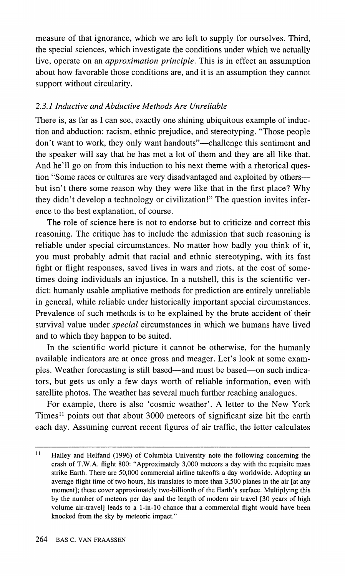**measure of that ignorance, which we are left to supply for ourselves. Third, the special sciences, which investigate the conditions under which we actually live, operate on an approximation principle. This is in effect an assumption about how favorable those conditions are, and it is an assumption they cannot support without circularity.** 

# **2.3.1 Inductive and Abductive Methods Are Unreliable**

**There is, as far as I can see, exactly one shining ubiquitous example of induction and abduction: racism, ethnic prejudice, and stereotyping. "Those people don't want to work, they only want handouts"-challenge this sentiment and the speaker will say that he has met a lot of them and they are all like that. And he'll go on from this induction to his next theme with a rhetorical question "Some races or cultures are very disadvantaged and exploited by othersbut isn't there some reason why they were like that in the first place? Why they didn't develop a technology or civilization!" The question invites inference to the best explanation, of course.** 

**The role of science here is not to endorse but to criticize and correct this reasoning. The critique has to include the admission that such reasoning is reliable under special circumstances. No matter how badly you think of it, you must probably admit that racial and ethnic stereotyping, with its fast fight or flight responses, saved lives in wars and riots, at the cost of sometimes doing individuals an injustice. In a nutshell, this is the scientific verdict: humanly usable ampliative methods for prediction are entirely unreliable in general, while reliable under historically important special circumstances. Prevalence of such methods is to be explained by the brute accident of their survival value under special circumstances in which we humans have lived and to which they happen to be suited.** 

**In the scientific world picture it cannot be otherwise, for the humanly available indicators are at once gross and meager. Let's look at some examples. Weather forecasting is still based-and must be based-on such indicators, but gets us only a few days worth of reliable information, even with satellite photos. The weather has several much further reaching analogues.** 

**For example, there is also 'cosmic weather'. A letter to the New York Times11 points out that about 3000 meteors of significant size hit the earth each day. Assuming current recent figures of air traffic, the letter calculates** 

 $11$ **Hailey and Helfand (1996) of Columbia University note the following concerning the crash of T.W.A. flight 800: "Approximately 3,000 meteors a day with the requisite mass strike Earth. There are 50,000 commercial airline takeoffs a day worldwide. Adopting an average flight time of two hours, his translates to more than 3,500 planes in the air [at any moment]; these cover approximately two-billionth of the Earth's surface. Multiplying this by the number of meteors per day and the length of modern air travel [30 years of high volume air-travel] leads to a l-in-10 chance that a commercial flight would have been knocked from the sky by meteoric impact."**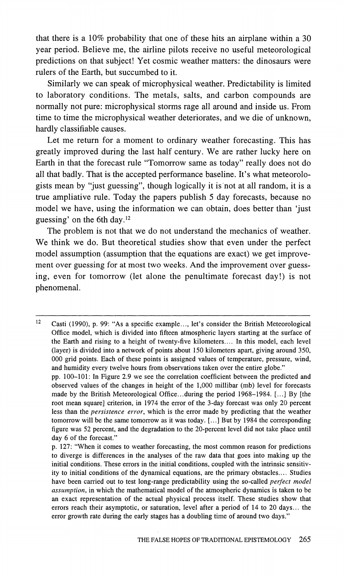**that there is a 10% probability that one of these hits an airplane within a 30 year period. Believe me, the airline pilots receive no useful meteorological predictions on that subject! Yet cosmic weather matters: the dinosaurs were rulers of the Earth, but succumbed to it.** 

**Similarly we can speak of microphysical weather. Predictability is limited to laboratory conditions. The metals, salts, and carbon compounds are normally not pure: microphysical storms rage all around and inside us. From time to time the microphysical weather deteriorates, and we die of unknown, hardly classifiable causes.** 

**Let me return for a moment to ordinary weather forecasting. This has greatly improved during the last half century. We are rather lucky here on Earth in that the forecast rule "Tomorrow same as today" really does not do all that badly. That is the accepted performance baseline. It's what meteorologists mean by "just guessing", though logically it is 'not at all random, it is a true ampliative rule. Today the papers publish 5 day forecasts, because no model we have, using the information we can obtain, does better than 'just guessing' on the 6th day.'2** 

**The problem is not that we do not understand the mechanics of weather. We think we do. But theoretical studies show that even under the perfect model assumption (assumption that the equations are exact) we get improvement over guessing for at most two weeks. And the improvement over guessing, even for tomorrow (let alone the penultimate forecast day!) is not phenomenal.** 

**<sup>12</sup>Casti (1990), p. 99: "As a specific example..., let's consider the British Meteorological Office model, which is divided into fifteen atmospheric layers starting at the surface of the Earth and rising to a height of twenty-five kilometers.... In this model, each level (layer) is divided into a network of points about 150 kilometers apart, giving around 350, 000 grid points. Each of these points is assigned values of temperature, pressure, wind, and humidity every twelve hours from observations taken over the entire globe."** 

**pp. 100-101: In Figure 2.9 we see the correlation coefficient between the predicted and observed values of the changes in height of the 1,000 millibar (mb) level for forecasts made by the British Meteorological Office.. .during the period 1968-1984. [...] By [the root mean square] criterion, in 1974 the error of the 3-day forecast was only 20 percent less than the persistence error, which is the error made by predicting that the weather tomorrow will be the same tomorrow as it was today. [...] But by 1984 the corresponding figure was 52 percent, and the degradation to the 20-percent level did not take place until day 6 of the forecast."** 

**p. 127: "When it comes to weather forecasting, the most common reason for predictions to diverge is differences in the analyses of the raw data that goes into making up the initial conditions. These errors in the initial conditions, coupled with the intrinsic sensitivity to initial conditions of the dynamical equations, are the primary obstacles.... Studies have been carried out to test long-range predictability using the so-called perfect model assumption, in which the mathematical model of the atmospheric dynamics is taken to be an exact representation of the actual physical process itself. These studies show that errors reach their asymptotic, or saturation, level after a period of 14 to 20 days... the error growth rate during the early stages has a doubling time of around two days."**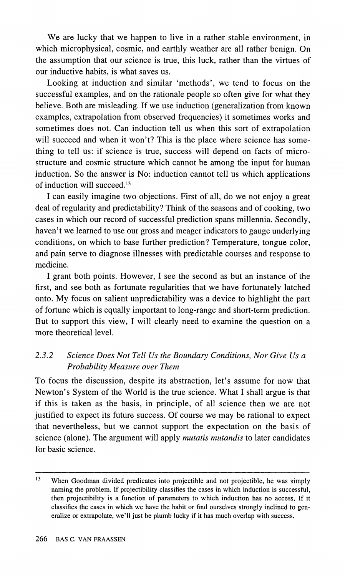**We are lucky that we happen to live in a rather stable environment, in which microphysical, cosmic, and earthly weather are all rather benign. On the assumption that our science is true, this luck, rather than the virtues of our inductive habits, is what saves us.** 

**Looking at induction and similar 'methods', we tend to focus on the successful examples, and on the rationale people so often give for what they believe. Both are misleading. If we use induction (generalization from known examples, extrapolation from observed frequencies) it sometimes works and sometimes does not. Can induction tell us when this sort of extrapolation will succeed and when it won't? This is the place where science has something to tell us: if science is true, success will depend on facts of microstructure and cosmic structure which cannot be among the input for human induction. So the answer is No: induction cannot tell us which applications of induction will succeed.'3** 

**I can easily imagine two objections. First of all, do we not enjoy a great deal of regularity and predictability? Think of the seasons and of cooking, two cases in which our record of successful prediction spans millennia. Secondly, haven't we learned to use our gross and meager indicators to gauge underlying conditions, on which to base further prediction? Temperature, tongue color, and pain serve to diagnose illnesses with predictable courses and response to medicine.** 

**I grant both points. However, I see the second as but an instance of the first, and see both as fortunate regularities that we have fortunately latched onto. My focus on salient unpredictability was a device to highlight the part of fortune which is equally important to long-range and short-term prediction. But to support this view, I will clearly need to examine the question on a more theoretical level.** 

# **2.3.2 Science Does Not Tell Us the Boundary Conditions, Nor Give Us a Probability Measure over Them**

**To focus the discussion, despite its abstraction, let's assume for now that Newton's System of the World is the true science. What I shall argue is that if this is taken as the basis, in principle, of all science then we are not justified to expect its future success. Of course we may be rational to expect that nevertheless, but we cannot support the expectation on the basis of science (alone). The argument will apply mutatis mutandis to later candidates for basic science.** 

**<sup>13</sup>When Goodman divided predicates into projectible and not projectible, he was simply naming the problem. If projectibility classifies the cases in which induction is successful, then projectibility is a function of parameters to which induction has no access. If it classifies the cases in which we have the habit or find ourselves strongly inclined to generalize or extrapolate, we'll just be plumb lucky if it has much overlap with success.**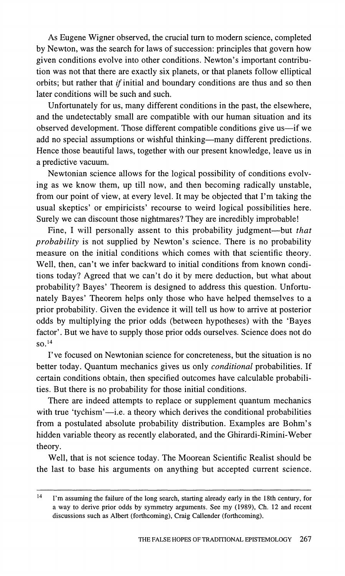**As Eugene Wigner observed, the crucial turn to modern science, completed by Newton, was the search for laws of succession: principles that govern how given conditions evolve into other conditions. Newton's important contribution was not that there are exactly six planets, or that planets follow elliptical orbits; but rather that if initial and boundary conditions are thus and so then later conditions will be such and such.** 

**Unfortunately for us, many different conditions in the past, the elsewhere, and the undetectably small are compatible with our human situation and its observed development. Those different compatible conditions give us-if we add no special assumptions or wishful thinking-many different predictions. Hence those beautiful laws, together with our present knowledge, leave us in a predictive vacuum.** 

**Newtonian science allows for the logical possibility of conditions evolving as we know them, up till now, and then becoming radically unstable, from our point of view, at every level. It may be objected that I'm taking the usual skeptics' or empiricists' recourse to weird logical possibilities here. Surely we can discount those nightmares? They are incredibly improbable!** 

Fine, I will personally assent to this probability judgment—but *that* **probability is not supplied by Newton's science. There is no probability measure on the initial conditions which comes with that scientific theory. Well, then, can't we infer backward to initial conditions from known conditions today? Agreed that we can't do it by mere deduction, but what about probability? Bayes' Theorem is designed to address this question. Unfortunately Bayes' Theorem helps only those who have helped themselves to a prior probability. Given the evidence it will tell us how to arrive at posterior odds by multiplying the prior odds (between hypotheses) with the 'Bayes factor'. But we have to supply those prior odds ourselves. Science does not do so.'4** 

**I've focused on Newtonian science for concreteness, but the situation is no better today. Quantum mechanics gives us only conditional probabilities. If certain conditions obtain, then specified outcomes have calculable probabilities. But there is no probability for those initial conditions.** 

**There are indeed attempts to replace or supplement quantum mechanics**  with true 'tychism'—i.e. a theory which derives the conditional probabilities **from a postulated absolute probability distribution. Examples are Bohm's hidden variable theory as recently elaborated, and the Ghirardi-Rimini-Weber theory.** 

**Well, that is not science today. The Moorean Scientific Realist should be the last to base his arguments on anything but accepted current science.** 

**<sup>14</sup> I'm assuming the failure of the long search, starting already early in the 18th century, for a way to derive prior odds by symmetry arguments. See my (1989), Ch. 12 and recent discussions such as Albert (forthcoming), Craig Callender (forthcoming).**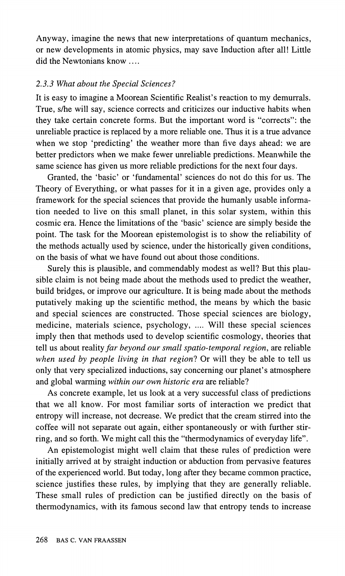**Anyway, imagine the news that new interpretations of quantum mechanics, or new developments in atomic physics, may save Induction after all! Little did the Newtonians know ....** 

#### **2.3.3 What about the Special Sciences?**

**It is easy to imagine a Moorean Scientific Realist's reaction to my demurrals. True, s/he will say, science corrects and criticizes our inductive habits when they take certain concrete forms. But the important word is "corrects": the unreliable practice is replaced by a more reliable one. Thus it is a true advance when we stop 'predicting' the weather more than five days ahead: we are better predictors when we make fewer unreliable predictions. Meanwhile the same science has given us more reliable predictions for the next four days.** 

**Granted, the 'basic' or 'fundamental' sciences do not do this for us. The Theory of Everything, or what passes for it in a given age, provides only a framework for the special sciences that provide the humanly usable information needed to live on this small planet, in this solar system, within this cosmic era. Hence the limitations of the 'basic' science are simply beside the point. The task for the Moorean epistemologist is to show the reliability of the methods actually used by science, under the historically given conditions, on the basis of what we have found out about those conditions.** 

**Surely this is plausible, and commendably modest as well? But this plausible claim is not being made about the methods used to predict the weather, build bridges, or improve our agriculture. It is being made about the methods putatively making up the scientific method, the means by which the basic and special sciences are constructed. Those special sciences are biology, medicine, materials science, psychology, .... Will these special sciences imply then that methods used to develop scientific cosmology, theories that tell us about reality far beyond our small spatio-temporal region, are reliable when used by people living in that region? Or will they be able to tell us only that very specialized inductions, say concerning our planet's atmosphere and global warming within our own historic era are reliable?** 

**As concrete example, let us look at a very successful class of predictions that we all know. For most familiar sorts of interaction we predict that entropy will increase, not decrease. We predict that the cream stirred into the coffee will not separate out again, either spontaneously or with further stirring, and so forth. We might call this the "thermodynamics of everyday life".** 

**An epistemologist might well claim that these rules of prediction were initially arrived at by straight induction or abduction from pervasive features of the experienced world. But today, long after they became common practice, science justifies these rules, by implying that they are generally reliable. These small rules of prediction can be justified directly on the basis of thermodynamics, with its famous second law that entropy tends to increase**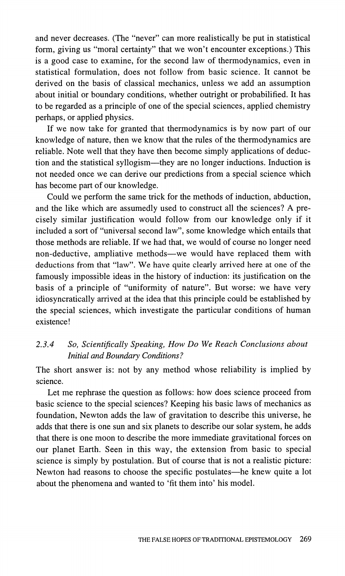**and never decreases. (The "never" can more realistically be put in statistical form, giving us "moral certainty" that we won't encounter exceptions.) This is a good case to examine, for the second law of thermodynamics, even in statistical formulation, does not follow from basic science. It cannot be derived on the basis of classical mechanics, unless we add an assumption about initial or boundary conditions, whether outright or probabilified. It has to be regarded as a principle of one of the special sciences, applied chemistry perhaps, or applied physics.** 

**If we now take for granted that thermodynamics is by now part of our knowledge of nature, then we know that the rules of the thermodynamics are reliable. Note well that they have then become simply applications of deduction and the statistical syllogism-they are no longer inductions. Induction is not needed once we can derive our predictions from a special science which has become part of our knowledge.** 

**Could we perform the same trick for the methods of induction, abduction, and the like which are assumedly used to construct all the sciences? A precisely similar justification would follow from our knowledge only if it included a sort of "universal second law", some knowledge which entails that those methods are reliable. If we had that, we would of course no longer need non-deductive, ampliative methods-we would have replaced them with deductions from that "law". We have quite clearly arrived here at one of the famously impossible ideas in the history of induction: its justification on the basis of a principle of "uniformity of nature". But worse: we have very idiosyncratically arrived at the idea that this principle could be established by the special sciences, which investigate the particular conditions of human existence!** 

# **2.3.4 So, Scientifically Speaking, How Do We Reach Conclusions about Initial and Boundary Conditions?**

**The short answer is: not by any method whose reliability is implied by science.** 

**Let me rephrase the question as follows: how does science proceed from basic science to the special sciences? Keeping his basic laws of mechanics as foundation, Newton adds the law of gravitation to describe this universe, he adds that there is one sun and six planets to describe our solar system, he adds that there is one moon to describe the more immediate gravitational forces on our planet Earth. Seen in this way, the extension from basic to special science is simply by postulation. But of course that is not a realistic picture:**  Newton had reasons to choose the specific postulates-he knew quite a lot **about the phenomena and wanted to 'fit them into' his model.**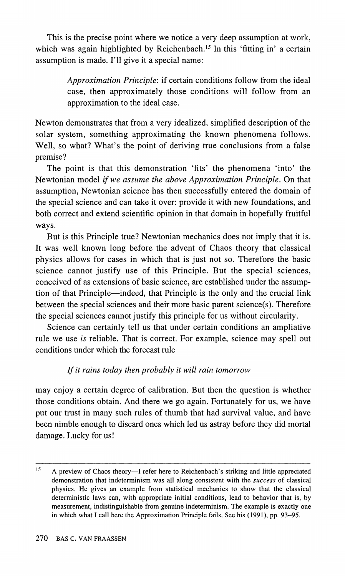**This is the precise point where we notice a very deep assumption at work, which was again highlighted by Reichenbach. 15 In this 'fitting in' a certain assumption is made. I'll give it a special name:** 

> **Approximation Principle: if certain conditions follow from the ideal case, then approximately those conditions will follow from an approximation to the ideal case.**

**Newton demonstrates that from a very idealized, simplified description of the solar system, something approximating the known phenomena follows. Well, so what? What's the point of deriving true conclusions from a false premise?** 

**The point is that this demonstration 'fits' the phenomena 'into' the Newtonian model if we assume the above Approximation Principle. On that assumption, Newtonian science has then successfully entered the domain of the special science and can take it over: provide it with new foundations, and both correct and extend scientific opinion in that domain in hopefully fruitful ways.** 

**But is this Principle true? Newtonian mechanics does not imply that it is. It was well known long before the advent of Chaos theory that classical physics allows for cases in which that is just not so. Therefore the basic science cannot justify use of this Principle. But the special sciences, conceived of as extensions of basic science, are established under the assumption of that Principle-indeed, that Principle is the only and the crucial link between the special sciences and their more basic parent science(s). Therefore the special sciences cannot justify this principle for us without circularity.** 

**Science can certainly tell us that under certain conditions an ampliative rule we use is reliable. That is correct. For example, science may spell out conditions under which the forecast rule** 

# **If it rains today then probably it will rain tomorrow**

**may enjoy a certain degree of calibration. But then the question is whether those conditions obtain. And there we go again. Fortunately for us, we have put our trust in many such rules of thumb that had survival value, and have been nimble enough to discard ones which led us astray before they did mortal damage. Lucky for us!** 

<sup>&</sup>lt;sup>15</sup> A preview of Chaos theory—I refer here to Reichenbach's striking and little appreciated **demonstration that indeterminism was all along consistent with the success of classical physics. He gives an example from statistical mechanics to show that the classical deterministic laws can, with appropriate initial conditions, lead to behavior that is, by measurement, indistinguishable from genuine indeterminism. The example is exactly one in which what I call here the Approximation Principle fails. See his (1991), pp. 93-95.**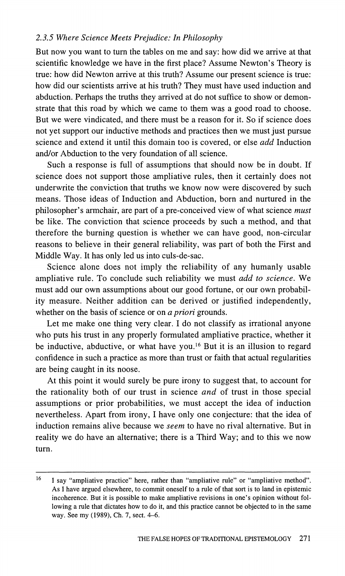#### **2.3.5 Where Science Meets Prejudice: In Philosophy**

**But now you want to turn the tables on me and say: how did we arrive at that scientific knowledge we have in the first place? Assume Newton's Theory is true: how did Newton arrive at this truth? Assume our present science is true: how did our scientists arrive at his truth? They must have used induction and abduction. Perhaps the truths they arrived at do not suffice to show or demonstrate that this road by which we came to them was a good road to choose. But we were vindicated, and there must be a reason for it. So if science does not yet support our inductive methods and practices then we must just pursue science and extend it until this domain too is covered, or else add Induction and/or Abduction to the very foundation of all science.** 

**Such a response is full of assumptions that should now be in doubt. If science does not support those ampliative rules, then it certainly does not underwrite the conviction that truths we know now were discovered by such means. Those ideas of Induction and Abduction, born and nurtured in the philosopher's armchair, are part of a pre-conceived view of what science must be like. The conviction that science proceeds by such a method, and that therefore the burning question is whether we can have good, non-circular reasons to believe in their general reliability, was part of both the First and Middle Way. It has only led us into culs-de-sac.** 

**Science alone does not imply the reliability of any humanly usable ampliative rule. To conclude such reliability we must add to science. We must add our own assumptions about our good fortune, or our own probability measure. Neither addition can be derived or justified independently, whether on the basis of science or on a priori grounds.** 

**Let me make one thing very clear. I do not classify as irrational anyone who puts his trust in any properly formulated ampliative practice, whether it be inductive, abductive, or what have you.'6 But it is an illusion to regard confidence in such a practice as more than trust or faith that actual regularities are being caught in its noose.** 

**At this point it would surely be pure irony to suggest that, to account for the rationality both of our trust in science and of trust in those special assumptions or prior probabilities, we must accept the idea of induction nevertheless. Apart from irony, I have only one conjecture: that the idea of induction remains alive because we seem to have no rival alternative. But in reality we do have an alternative; there is a Third Way; and to this we now turn.** 

**<sup>16</sup>I say "ampliative practice" here, rather than "ampliative rule" or "ampliative method". As I have argued elsewhere, to commit oneself to a rule of that sort is to land in epistemic incoherence. But it is possible to make ampliative revisions in one's opinion without following a rule that dictates how to do it, and this practice cannot be objected to in the same way. See my (1989), Ch. 7, sect. 4-6.**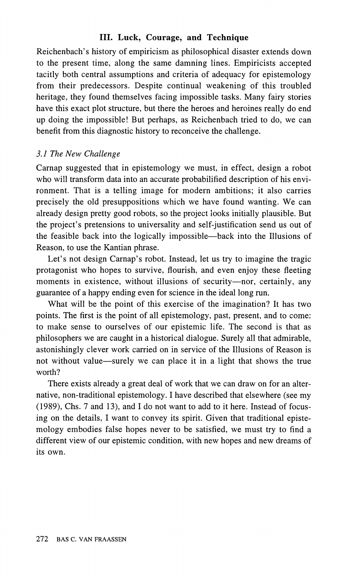#### **III. Luck, Courage, and Technique**

**Reichenbach's history of empiricism as philosophical disaster extends down to the present time, along the same damning lines. Empiricists accepted tacitly both central assumptions and criteria of adequacy for epistemology from their predecessors. Despite continual weakening of this troubled heritage, they found themselves facing impossible tasks. Many fairy stories have this exact plot structure, but there the heroes and heroines really do end up doing the impossible! But perhaps, as Reichenbach tried to do, we can benefit from this diagnostic history to reconceive the challenge.** 

#### **3.1 The New Challenge**

**Carnap suggested that in epistemology we must, in effect, design a robot who will transform data into an accurate probabilified description of his environment. That is a telling image for modern ambitions; it also carries precisely the old presuppositions which we have found wanting. We can already design pretty good robots, so the project looks initially plausible. But the project's pretensions to universality and self-justification send us out of the feasible back into the logically impossible-back into the Illusions of Reason, to use the Kantian phrase.** 

**Let's not design Carnap's robot. Instead, let us try to imagine the tragic protagonist who hopes to survive, flourish, and even enjoy these fleeting**  moments in existence, without illusions of security-nor, certainly, any **guarantee of a happy ending even for science in the ideal long run.** 

**What will be the point of this exercise of the imagination? It has two points. The first is the point of all epistemology, past, present, and to come: to make sense to ourselves of our epistemic life. The second is that as philosophers we are caught in a historical dialogue. Surely all that admirable, astonishingly clever work carried on in service of the Illusions of Reason is not without value-surely we can place it in a light that shows the true worth?** 

**There exists already a great deal of work that we can draw on for an alternative, non-traditional epistemology. I have described that elsewhere (see my (1989), Chs. 7 and 13), and I do not want to add to it here. Instead of focusing on the details, I want to convey its spirit. Given that traditional epistemology embodies false hopes never to be satisfied, we must try to find a different view of our epistemic condition, with new hopes and new dreams of its own.**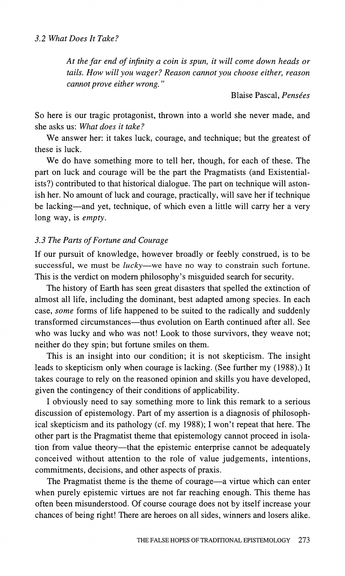**At the far end of infinity a coin is spun, it will come down heads or tails. How will you wager? Reason cannot you choose either, reason cannot prove either wrong. "** 

**Blaise Pascal, Pensées** 

**So here is our tragic protagonist, thrown into a world she never made, and she asks us: What does it take?** 

**We answer her: it takes luck, courage, and technique; but the greatest of these is luck.** 

**We do have something more to tell her, though, for each of these. The part on luck and courage will be the part the Pragmatists (and Existentialists?) contributed to that historical dialogue. The part on technique will astonish her. No amount of luck and courage, practically, will save her if technique be lacking-and yet, technique, of which even a little will carry her a very long way, is empty.** 

#### **3.3 The Parts of Fortune and Courage**

**If our pursuit of knowledge, however broadly or feebly construed, is to be**  successful, we must be *lucky*—we have no way to constrain such fortune. **This is the verdict on modern philosophy's misguided search for security.** 

**The history of Earth has seen great disasters that spelled the extinction of almost all life, including the dominant, best adapted among species. In each case, some forms of life happened to be suited to the radically and suddenly transformed circumstances-thus evolution on Earth continued after all. See who was lucky and who was not! Look to those survivors, they weave not; neither do they spin; but fortune smiles on them.** 

**This is an insight into our condition; it is not skepticism. The insight leads to skepticism only when courage is lacking. (See further my (1988).) It takes courage to rely on the reasoned opinion and skills you have developed, given the contingency of their conditions of applicability.** 

**I obviously need to say something more to link this remark to a serious discussion of epistemology. Part of my assertion is a diagnosis of philosophical skepticism and its pathology (cf. my 1988); I won't repeat that here. The other part is the Pragmatist theme that epistemology cannot proceed in isolation from value theory-that the epistemic enterprise cannot be adequately conceived without attention to the role of value judgements, intentions, commitments, decisions, and other aspects of praxis.** 

**The Pragmatist theme is the theme of courage-a virtue which can enter when purely epistemic virtues are not far reaching enough. This theme has often been misunderstood. Of course courage does not by itself increase your chances of being right! There are heroes on all sides, winners and losers alike.**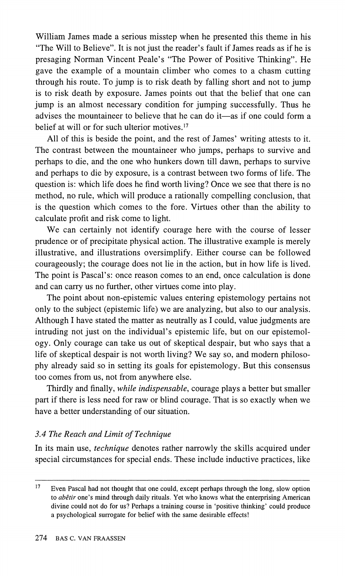**William James made a serious misstep when he presented this theme in his "The Will to Believe". It is not just the reader's fault if James reads as if he is presaging Norman Vincent Peale's "The Power of Positive Thinking". He gave the example of a mountain climber who comes to a chasm cutting through his route. To jump is to risk death by falling short and not to jump is to risk death by exposure. James points out that the belief that one can jump is an almost necessary condition for jumping successfully. Thus he**  advises the mountaineer to believe that he can do it—as if one could form a **belief at will or for such ulterior motives.'7** 

**All of this is beside the point, and the rest of James' writing attests to it. The contrast between the mountaineer who jumps, perhaps to survive and perhaps to die, and the one who hunkers down till dawn, perhaps to survive and perhaps to die by exposure, is a contrast between two forms of life. The question is: which life does he find worth living? Once we see that there is no method, no rule, which will produce a rationally compelling conclusion, that is the question which comes to the fore. Virtues other than the ability to calculate profit and risk come to light.** 

**We can certainly not identify courage here with the course of lesser prudence or of precipitate physical action. The illustrative example is merely illustrative, and illustrations oversimplify. Either course can be followed courageously; the courage does not lie in the action, but in how life is lived. The point is Pascal's: once reason comes to an end, once calculation is done and can carry us no further, other virtues come into play.** 

**The point about non-epistemic values entering epistemology pertains not**  only to the subject (epistemic life) we are analyzing, but also to our analysis. **Although I have stated the matter as neutrally as I could, value judgments are intruding not just on the individual's epistemic life, but on our epistemology. Only courage can take us out of skeptical despair, but who says that a life of skeptical despair is not worth living? We say so, and modern philosophy already said so in setting its goals for epistemology. But this consensus too comes from us, not from anywhere else.** 

**Thirdly and finally, while indispensable, courage plays a better but smaller part if there is less need for raw or blind courage. That is so exactly when we have a better understanding of our situation.** 

## **3.4 The Reach and Limit of Technique**

**In its main use, technique denotes rather narrowly the skills acquired under special circumstances for special ends. These include inductive practices, like** 

**<sup>17</sup>Even Pascal had not thought that one could, except perhaps through the long, slow option**  to *abêtir* one's mind through daily rituals. Yet who knows what the enterprising American **divine could not do for us? Perhaps a training course in 'positive thinking' could produce a psychological surrogate for belief with the same desirable effects!**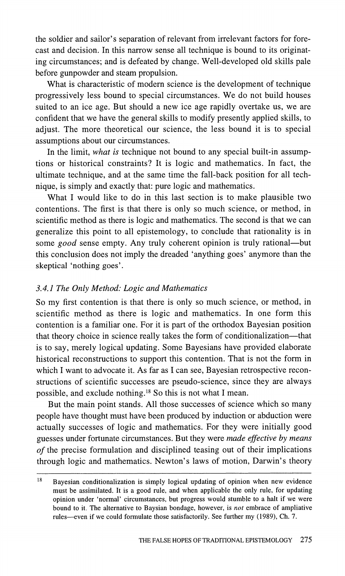**the soldier and sailor's separation of relevant from irrelevant factors for forecast and decision. In this narrow sense all technique is bound to its originating circumstances; and is defeated by change. Well-developed old skills pale before gunpowder and steam propulsion.** 

**What is characteristic of modern science is the development of technique progressively less bound to special circumstances. We do not build houses suited to an ice age. But should a new ice age rapidly overtake us, we are confident that we have the general skills to modify presently applied skills, to adjust. The more theoretical our science, the less bound it is to special assumptions about our circumstances.** 

**In the limit, what is technique not bound to any special built-in assumptions or historical constraints? It is logic and mathematics. In fact, the ultimate technique, and at the same time the fall-back position for all technique, is simply and exactly that: pure logic and mathematics.** 

**What I would like to do in this last section is to make plausible two contentions. The first is that there is only so much science, or method, in scientific method as there is logic and mathematics. The second is that we can generalize this point to all epistemology, to conclude that rationality is in**  some *good* sense empty. Any truly coherent opinion is truly rational—but **this conclusion does not imply the dreaded 'anything goes' anymore than the skeptical 'nothing goes'.** 

#### **3.4.1 The Only Method: Logic and Mathematics**

**So my first contention is that there is only so much science, or method, in scientific method as there is logic and mathematics. In one form this contention is a familiar one. For it is part of the orthodox Bayesian position that theory choice in science really takes the form of conditionalization-that is to say, merely logical updating. Some Bayesians have provided elaborate historical reconstructions to support this contention. That is not the form in which I want to advocate it. As far as I can see, Bayesian retrospective reconstructions of scientific successes are pseudo-science, since they are always**  possible, and exclude nothing.<sup>18</sup> So this is not what I mean.

**But the main point stands. All those successes of science which so many people have thought must have been produced by induction or abduction were actually successes of logic and mathematics. For they were initially good guesses under fortunate circumstances. But they were made effective by means of the precise formulation and disciplined teasing out of their implications through logic and mathematics. Newton's laws of motion, Darwin's theory** 

**<sup>18</sup>Bayesian conditionalization is simply logical updating of opinion when new evidence must be assimilated. It is a good rule, and when applicable the only rule, for updating opinion under 'normal' circumstances, but progress would stumble to a halt if we were bound to it. The alternative to Baysian bondage, however, is not embrace of ampliative**  rules-even if we could formulate those satisfactorily. See further my (1989), Ch. 7.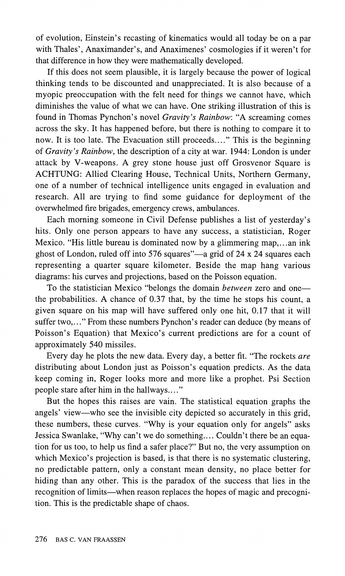**of evolution, Einstein's recasting of kinematics would all today be on a par with Thales', Anaximander's, and Anaximenes' cosmologies if it weren't for that difference in how they were mathematically developed.** 

**If this does not seem plausible, it is largely because the power of logical thinking tends to be discounted and unappreciated. It is also because of a myopic preoccupation with the felt need for things we cannot have, which diminishes the value of what we can have. One striking illustration of this is found in Thomas Pynchon's novel Gravity's Rainbow: "A screaming comes across the sky. It has happened before, but there is nothing to compare it to now. It is too late. The Evacuation still proceeds...." This is the beginning of Gravity's Rainbow, the description of a city at war. 1944: London is under attack by V-weapons. A grey stone house just off Grosvenor Square is ACHTUNG: Allied Clearing House, Technical Units, Northern Germany, one of a number of technical intelligence units engaged in evaluation and research. All are trying to find some guidance for deployment of the overwhelmed fire brigades, emergency crews, ambulances.** 

**Each morning someone in Civil Defense publishes a list of yesterday's hits. Only one person appears to have any success, a statistician, Roger Mexico. "His little bureau is dominated now by a glimmering map,...an ink ghost of London, ruled off into 576 squares"-a grid of 24 x 24 squares each representing a quarter square kilometer. Beside the map hang various diagrams: his curves and projections, based on the Poisson equation.** 

**To the statistician Mexico "belongs the domain between zero and onethe probabilities. A chance of 0.37 that, by the time he stops his count, a given square on his map will have suffered only one hit, 0.17 that it will suffer two,..." From these numbers Pynchon's reader can deduce (by means of Poisson's Equation) that Mexico's current predictions are for a count of approximately 540 missiles.** 

**Every day he plots the new data. Every day, a better fit. "The rockets are distributing about London just as Poisson's equation predicts. As the data keep coming in, Roger looks more and more like a prophet. Psi Section people stare after him in the hallways...."** 

**But the hopes this raises are vain. The statistical equation graphs the angels' view-who see the invisible city depicted so accurately in this grid, these numbers, these curves. "Why is your equation only for angels" asks Jessica Swanlake, "Why can't we do something.... Couldn't there be an equation for us too, to help us find a safer place?" But no, the very assumption on which Mexico's projection is based, is that there is no systematic clustering, no predictable pattern, only a constant mean density, no place better for hiding than any other. This is the paradox of the success that lies in the**  recognition of limits—when reason replaces the hopes of magic and precogni**tion. This is the predictable shape of chaos.**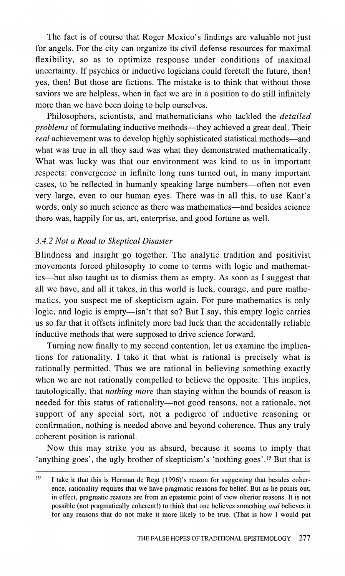**The fact is of course that Roger Mexico's findings are valuable not just for angels. For the city can organize its civil defense resources for maximal flexibility, so as to optimize response under conditions of maximal uncertainty. If psychics or inductive logicians could foretell the future, then! yes, then! But those are fictions. The mistake is to think that without those saviors we are helpless, when in fact we are in a position to do still infinitely more than we have been doing to help ourselves.** 

**Philosophers, scientists, and mathematicians who tackled the detailed**  *problems* of formulating inductive methods—they achieved a great deal. Their **real achievement was to develop highly sophisticated statistical methods-and what was true in all they said was what they demonstrated mathematically. What was lucky was that our environment was kind to us in important respects: convergence in infinite long runs turned out, in many important cases, to be reflected in humanly speaking large numbers-often not even very large, even to our human eyes. There was in all this, to use Kant's**  words, only so much science as there was mathematics—and besides science **there was, happily for us, art, enterprise, and good fortune as well.** 

## **3.4.2 Not a Road to Skeptical Disaster**

**Blindness and insight go together. The analytic tradition and positivist movements forced philosophy to come to terms with logic and mathematics-but also taught us to dismiss them as empty. As soon as I suggest that all we have, and all it takes, in this world is luck, courage, and pure mathematics, you suspect me of skepticism again. For pure mathematics is only**  logic, and logic is empty-isn't that so? But I say, this empty logic carries **us so far that it offsets infinitely more bad luck than the accidentally reliable inductive methods that were supposed to drive science forward.** 

**Turning now finally to my second contention, let us examine the implications for rationality. I take it that what is rational is precisely what is rationally permitted. Thus we are rational in believing something exactly when we are not rationally compelled to believe the opposite. This implies, tautologically, that nothing more than staying within the bounds of reason is needed for this status of rationality-not good reasons, not a rationale, not support of any special sort, not a pedigree of inductive reasoning or confirmation, nothing is needed above and beyond coherence. Thus any truly coherent position is rational.** 

**Now this may strike you as absurd, because it seems to imply that**  'anything goes', the ugly brother of skepticism's 'nothing goes'.<sup>19</sup> But that is

**<sup>19</sup>I take it that this is Herman de Regt (1996)'s reason for suggesting that besides coherence, rationality requires that we have pragmatic reasons for belief. But as he points out, in effect, pragmatic reasons are from an epistemic point of view ulterior reasons. It is not possible (not pragmatically coherent!) to think that one believes something and believes it for any reasons that do not make it more likely to be true. (That is how I would put**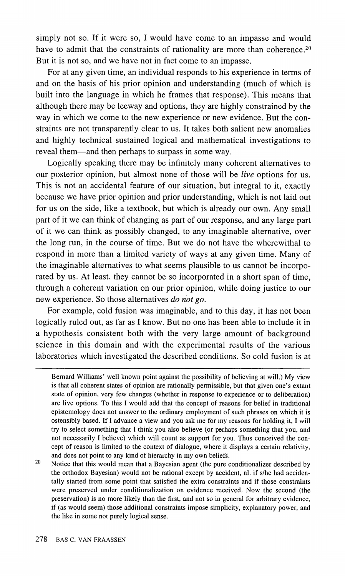**simply not so. If it were so, I would have come to an impasse and would have to admit that the constraints of rationality are more than coherence.2" But it is not so, and we have not in fact come to an impasse.** 

**For at any given time, an individual responds to his experience in terms of and on the basis of his prior opinion and understanding (much of which is built into the language in which he frames that response). This means that although there may be leeway and options, they are highly constrained by the way in which we come to the new experience or new evidence. But the constraints are not transparently clear to us. It takes both salient new anomalies and highly technical sustained logical and mathematical investigations to reveal them-and then perhaps to surpass in some way.** 

**Logically speaking there may be infinitely many coherent alternatives to our posterior opinion, but almost none of those will be live options for us. This is not an accidental feature of our situation, but integral to it, exactly because we have prior opinion and prior understanding, which is not laid out for us on the side, like a textbook, but which is already our own. Any small part of it we can think of changing as part of our response, and any large part of it we can think as possibly changed, to any imaginable alternative, over the long run, in the course of time. But we do not have the wherewithal to respond in more than a limited variety of ways at any given time. Many of the imaginable alternatives to what seems plausible to us cannot be incorporated by us. At least, they cannot be so incorporated in a short span of time, through a coherent variation on our prior opinion, while doing justice to our new experience. So those alternatives do not go.** 

**For example, cold fusion was imaginable, and to this day, it has not been logically ruled out, as far as I know. But no one has been able to include it in a hypothesis consistent both with the very large amount of background science in this domain and with the experimental results of the various laboratories which investigated the described conditions. So cold fusion is at** 

**Bernard Williams' well known point against the possibility of believing at will.) My view is that all coherent states of opinion are rationally permissible, but that given one's extant state of opinion, very few changes (whether in response to experience or to deliberation) are live options. To this I would add that the concept of reasons for belief in traditional epistemology does not answer to the ordinary employment of such phrases on which it is ostensibly based. If I advance a view and you ask me for my reasons for holding it, I will try to select something that I think you also believe (or perhaps something that you, and not necessarily I believe) which will count as support for you. Thus conceived the concept of reason is limited to the context of dialogue, where it displays a certain relativity, and does not point to any kind of hierarchy in my own beliefs.** 

**<sup>20</sup> Notice that this would mean that a Bayesian agent (the pure conditionalizer described by the orthodox Bayesian) would not be rational except by accident, nl. if s/he had accidentally started from some point that satisfied the extra constraints and if those constraints were preserved under conditionalization on evidence received. Now the second (the preservation) is no more likely than the first, and not so in general for arbitrary evidence, if (as would seem) those additional constraints impose simplicity, explanatory power, and the like in some not purely logical sense.**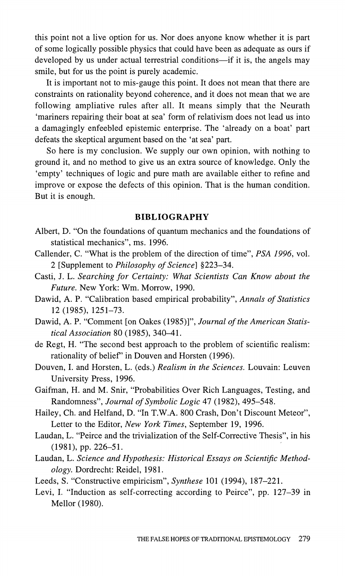**this point not a live option for us. Nor does anyone know whether it is part of some logically possible physics that could have been as adequate as ours if**  developed by us under actual terrestrial conditions—if it is, the angels may **smile, but for us the point is purely academic.** 

**It is important not to mis-gauge this point. It does not mean that there are constraints on rationality beyond coherence, and it does not mean that we are following ampliative rules after all. It means simply that the Neurath 'mariners repairing their boat at sea' form of relativism does not lead us into a damagingly enfeebled epistemic enterprise. The 'already on a boat' part defeats the skeptical argument based on the 'at sea' part.** 

**So here is my conclusion. We supply our own opinion, with nothing to ground it, and no method to give us an extra source of knowledge. Only the 'empty' techniques of logic and pure math are available either to refine and improve or expose the defects of this opinion. That is the human condition. But it is enough.** 

#### **BIBLIOGRAPHY**

- **Albert, D. "On the foundations of quantum mechanics and the foundations of statistical mechanics", ms. 1996.**
- **Callender, C. "What is the problem of the direction of time", PSA 1996, vol.**  2 [Supplement to *Philosophy of Science*] §223-34.
- **Casti, J. L. Searching for Certainty: What Scientists Can Know about the Future. New York: Wm. Morrow, 1990.**
- **Dawid, A. P. "Calibration based empirical probability", Annals of Statistics 12 (1985), 1251-73.**
- **Dawid, A. P. "Comment [on Oakes (1985)]", Journal of the American Statistical Association 80 (1985), 340-41.**
- **de Regt, H. "The second best approach to the problem of scientific realism: rationality of belief' in Douven and Horsten (1996).**
- **Douven, I. and Horsten, L. (eds.) Realism in the Sciences. Louvain: Leuven University Press, 1996.**
- **Gaifman, H. and M. Snir, "Probabilities Over Rich Languages, Testing, and Randomness", Journal of Symbolic Logic 47 (1982), 495-548.**
- **Hailey, Ch. and Helfand, D. "In T.W.A. 800 Crash, Don't Discount Meteor", Letter to the Editor, New York Times, September 19, 1996.**
- **Laudan, L. "Peirce and the trivialization of the Self-Corrective Thesis", in his (1981), pp. 226-51.**
- **Laudan, L. Science and Hypothesis: Historical Essays on Scientific Methodology. Dordrecht: Reidel, 1981.**
- **Leeds, S. "Constructive empiricism", Synthese 101 (1994), 187-221.**
- **Levi, I. "Induction as self-correcting according to Peirce", pp. 127-39 in Mellor (1980).**